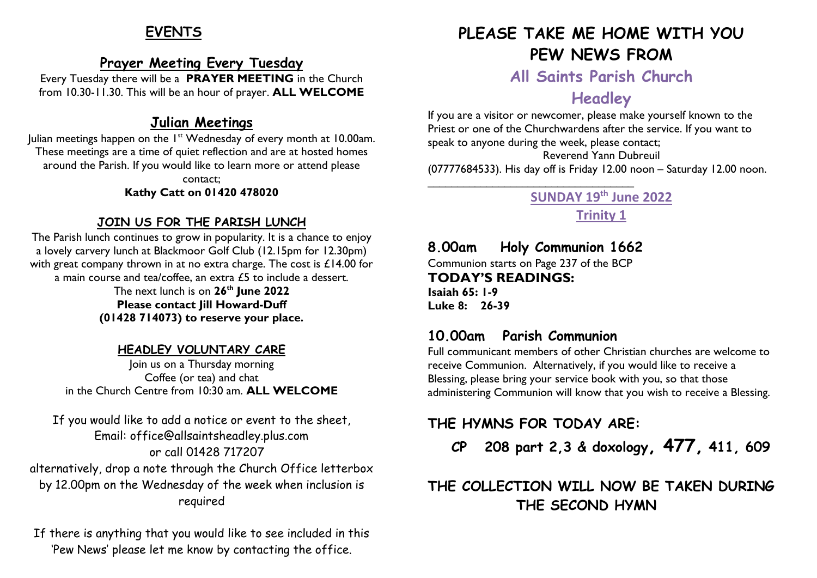# **EVENTS**

### **Prayer Meeting Every Tuesday**

Every Tuesday there will be a **PRAYER MEETING** in the Church from 10.30-11.30. This will be an hour of prayer. **ALL WELCOME**

### **Julian Meetings**

Julian meetings happen on the 1<sup>st</sup> Wednesday of every month at 10.00am. These meetings are a time of quiet reflection and are at hosted homes around the Parish. If you would like to learn more or attend please contact;

**Kathy Catt on 01420 478020**

#### **JOIN US FOR THE PARISH LUNCH**

The Parish lunch continues to grow in popularity. It is a chance to enjoy a lovely carvery lunch at Blackmoor Golf Club (12.15pm for 12.30pm) with great company thrown in at no extra charge. The cost is £14.00 for a main course and tea/coffee, an extra £5 to include a dessert. The next lunch is on **26 th June 2022 Please contact Jill Howard-Duff (01428 714073) to reserve your place.**

#### **HEADLEY VOLUNTARY CARE**

Join us on a Thursday morning Coffee (or tea) and chat in the Church Centre from 10:30 am. **ALL WELCOME**

If you would like to add a notice or event to the sheet, Email: office@allsaintsheadley.plus.com or call 01428 717207 alternatively, drop a note through the Church Office letterbox by 12.00pm on the Wednesday of the week when inclusion is required

If there is anything that you would like to see included in this 'Pew News' please let me know by contacting the office.

# **PLEASE TAKE ME HOME WITH YOU PEW NEWS FROM**

**All Saints Parish Church**

# **Headley**

If you are a visitor or newcomer, please make yourself known to the Priest or one of the Churchwardens after the service. If you want to speak to anyone during the week, please contact; Reverend Yann Dubreuil (07777684533). His day off is Friday 12.00 noon – Saturday 12.00 noon. \_\_\_\_\_\_\_\_\_\_\_\_\_\_\_\_\_\_\_\_\_\_\_\_\_\_\_\_\_\_\_\_\_\_\_

### **SUNDAY 19 th June 2022 Trinity 1**

# **8.00am Holy Communion 1662**

Communion starts on Page 237 of the BCP **TODAY'S READINGS: Isaiah 65: 1-9 Luke 8: 26-39**

### **10.00am Parish Communion**

Full communicant members of other Christian churches are welcome to receive Communion. Alternatively, if you would like to receive a Blessing, please bring your service book with you, so that those administering Communion will know that you wish to receive a Blessing.

### **THE HYMNS FOR TODAY ARE:**

 **CP 208 part 2,3 & doxology, 477, 411, 609**

# **THE COLLECTION WILL NOW BE TAKEN DURING THE SECOND HYMN**